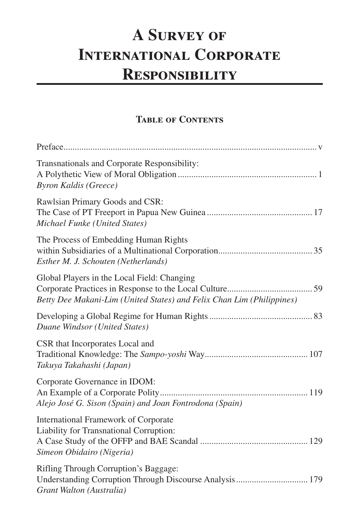## **A Survey of International Corporate Responsibility**

## **Table of Contents**

| Transnationals and Corporate Responsibility:<br><b>Byron Kaldis (Greece)</b>                                                 |
|------------------------------------------------------------------------------------------------------------------------------|
| Rawlsian Primary Goods and CSR:<br>Michael Funke (United States)                                                             |
| The Process of Embedding Human Rights<br>Esther M. J. Schouten (Netherlands)                                                 |
| Global Players in the Local Field: Changing<br>Betty Dee Makani-Lim (United States) and Felix Chan Lim (Philippines)         |
| Duane Windsor (United States)                                                                                                |
| CSR that Incorporates Local and<br>Takuya Takahashi (Japan)                                                                  |
| Corporate Governance in IDOM:<br>Alejo José G. Sison (Spain) and Joan Fontrodona (Spain)                                     |
| International Framework of Corporate<br>Liability for Transnational Corruption:<br>Simeon Obidairo (Nigeria)                 |
| Rifling Through Corruption's Baggage:<br>Understanding Corruption Through Discourse Analysis 179<br>Grant Walton (Australia) |